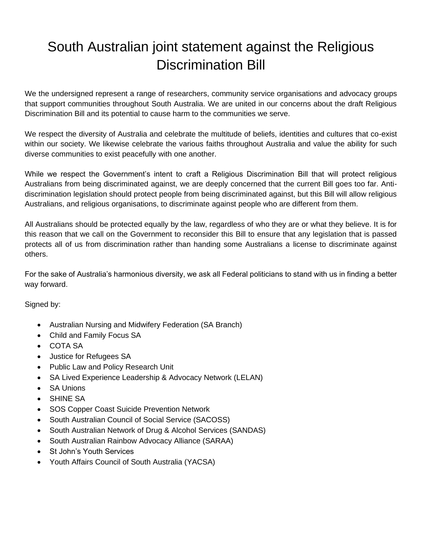## South Australian joint statement against the Religious Discrimination Bill

We the undersigned represent a range of researchers, community service organisations and advocacy groups that support communities throughout South Australia. We are united in our concerns about the draft Religious Discrimination Bill and its potential to cause harm to the communities we serve.

We respect the diversity of Australia and celebrate the multitude of beliefs, identities and cultures that co-exist within our society. We likewise celebrate the various faiths throughout Australia and value the ability for such diverse communities to exist peacefully with one another.

While we respect the Government's intent to craft a Religious Discrimination Bill that will protect religious Australians from being discriminated against, we are deeply concerned that the current Bill goes too far. Antidiscrimination legislation should protect people from being discriminated against, but this Bill will allow religious Australians, and religious organisations, to discriminate against people who are different from them.

All Australians should be protected equally by the law, regardless of who they are or what they believe. It is for this reason that we call on the Government to reconsider this Bill to ensure that any legislation that is passed protects all of us from discrimination rather than handing some Australians a license to discriminate against others.

For the sake of Australia's harmonious diversity, we ask all Federal politicians to stand with us in finding a better way forward.

Signed by:

- Australian Nursing and Midwifery Federation (SA Branch)
- Child and Family Focus SA
- COTA SA
- Justice for Refugees SA
- Public Law and Policy Research Unit
- SA Lived Experience Leadership & Advocacy Network (LELAN)
- SA Unions
- **SHINE SA**
- SOS Copper Coast Suicide Prevention Network
- South Australian Council of Social Service (SACOSS)
- South Australian Network of Drug & Alcohol Services (SANDAS)
- South Australian Rainbow Advocacy Alliance (SARAA)
- St John's Youth Services
- Youth Affairs Council of South Australia (YACSA)